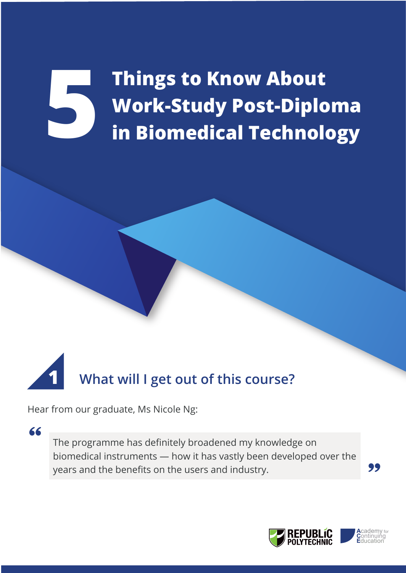## **5 Things to Know About**<br>**5 Work-Study Post-Diple**<br>**5 in Biomedical Technol Work-Study Post-Diploma in Biomedical Technology**



Hear from our graduate, Ms Nicole Ng:

"

The programme has definitely broadened my knowledge on biomedical instruments — how it has vastly been developed over the years and the benefits on the users and industry.

99

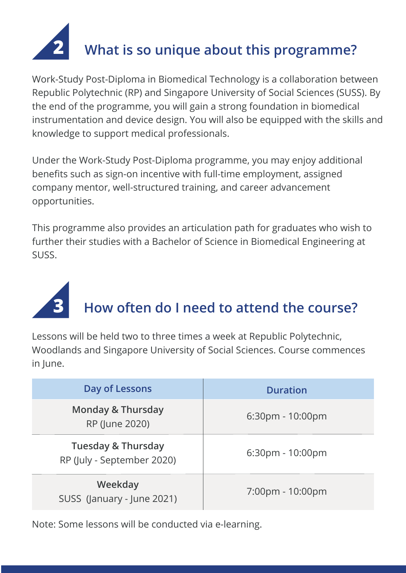## **2 What is so unique about this programme?**

Work-Study Post-Diploma in Biomedical Technology is a collaboration between Republic Polytechnic (RP) and Singapore University of Social Sciences (SUSS). By the end of the programme, you will gain a strong foundation in biomedical instrumentation and device design. You will also be equipped with the skills and knowledge to support medical professionals.

Under the Work-Study Post-Diploma programme, you may enjoy additional benefits such as sign-on incentive with full-time employment, assigned company mentor, well-structured training, and career advancement opportunities.

This programme also provides an articulation path for graduates who wish to further their studies with a Bachelor of Science in Biomedical Engineering at SUSS.



## **3 How often do I need to attend the course?**

Lessons will be held two to three times a week at Republic Polytechnic, Woodlands and Singapore University of Social Sciences. Course commences in June.

| Day of Lessons                                              | <b>Duration</b>     |  |
|-------------------------------------------------------------|---------------------|--|
| <b>Monday &amp; Thursday</b><br>RP (June 2020)              | $6:30$ pm - 10:00pm |  |
| <b>Tuesday &amp; Thursday</b><br>RP (July - September 2020) | $6:30$ pm - 10:00pm |  |
| Weekday<br>SUSS (January - June 2021)                       | 7:00pm - 10:00pm    |  |

Note: Some lessons will be conducted via e-learning.